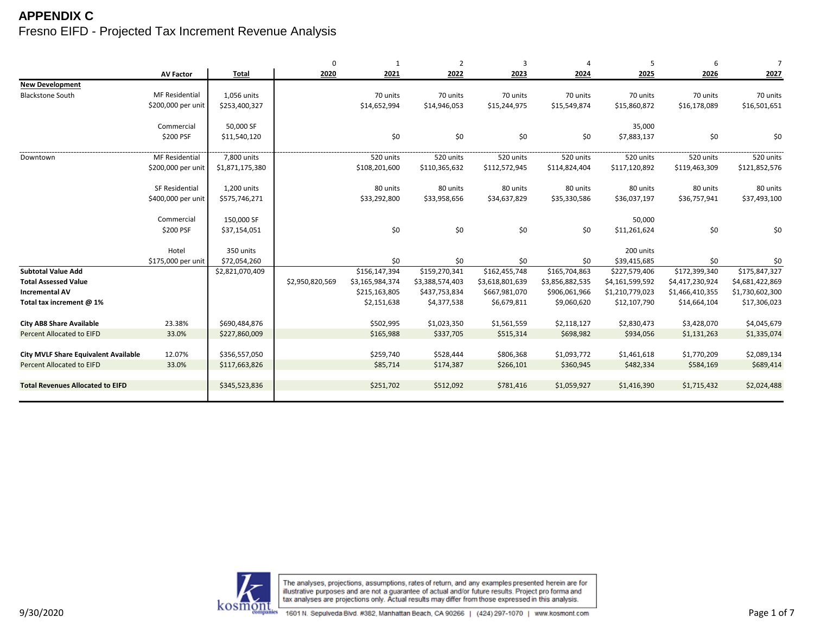|                                             |                       |                 | $\Omega$        | $\mathbf{1}$    | $\overline{2}$  | 3               | $\overline{4}$  | 5               | 6               | $\overline{7}$  |
|---------------------------------------------|-----------------------|-----------------|-----------------|-----------------|-----------------|-----------------|-----------------|-----------------|-----------------|-----------------|
|                                             | <b>AV Factor</b>      | <b>Total</b>    | 2020            | 2021            | 2022            | 2023            | 2024            | 2025            | 2026            | 2027            |
| <b>New Development</b>                      |                       |                 |                 |                 |                 |                 |                 |                 |                 |                 |
| <b>Blackstone South</b>                     | <b>MF Residential</b> | 1,056 units     |                 | 70 units        | 70 units        | 70 units        | 70 units        | 70 units        | 70 units        | 70 units        |
|                                             | \$200,000 per unit    | \$253,400,327   |                 | \$14,652,994    | \$14,946,053    | \$15,244,975    | \$15,549,874    | \$15,860,872    | \$16,178,089    | \$16,501,651    |
|                                             |                       |                 |                 |                 |                 |                 |                 |                 |                 |                 |
|                                             | Commercial            | 50,000 SF       |                 |                 |                 |                 |                 | 35,000          |                 |                 |
|                                             | \$200 PSF             | \$11,540,120    |                 | \$0             | \$0             | \$0             | \$0             | \$7,883,137     | \$0             | \$0             |
|                                             |                       |                 |                 |                 |                 |                 |                 |                 |                 |                 |
| Downtown                                    | <b>MF Residential</b> | 7,800 units     |                 | 520 units       | 520 units       | 520 units       | 520 units       | 520 units       | 520 units       | 520 units       |
|                                             | \$200,000 per unit    | \$1,871,175,380 |                 | \$108,201,600   | \$110,365,632   | \$112,572,945   | \$114,824,404   | \$117,120,892   | \$119,463,309   | \$121,852,576   |
|                                             | SF Residential        | 1,200 units     |                 | 80 units        | 80 units        | 80 units        | 80 units        | 80 units        | 80 units        | 80 units        |
|                                             | \$400,000 per unit    | \$575,746,271   |                 | \$33,292,800    | \$33,958,656    | \$34,637,829    | \$35,330,586    | \$36,037,197    | \$36,757,941    | \$37,493,100    |
|                                             |                       |                 |                 |                 |                 |                 |                 |                 |                 |                 |
|                                             | Commercial            | 150,000 SF      |                 |                 |                 |                 |                 | 50,000          |                 |                 |
|                                             | \$200 PSF             | \$37,154,051    |                 | \$0             | \$0             | \$0             | \$0             | \$11,261,624    | \$0             | \$0             |
|                                             |                       |                 |                 |                 |                 |                 |                 |                 |                 |                 |
|                                             | Hotel                 | 350 units       |                 |                 |                 |                 |                 | 200 units       |                 |                 |
|                                             | \$175,000 per unit    | \$72,054,260    |                 | \$0             | \$0             | \$0             | \$0             | \$39,415,685    | \$0             | \$0             |
| <b>Subtotal Value Add</b>                   |                       | \$2,821,070,409 |                 | \$156,147,394   | \$159,270,341   | \$162,455,748   | \$165,704,863   | \$227,579,406   | \$172,399,340   | \$175,847,327   |
| <b>Total Assessed Value</b>                 |                       |                 | \$2,950,820,569 | \$3,165,984,374 | \$3,388,574,403 | \$3,618,801,639 | \$3,856,882,535 | \$4,161,599,592 | \$4,417,230,924 | \$4,681,422,869 |
| <b>Incremental AV</b>                       |                       |                 |                 | \$215,163,805   | \$437,753,834   | \$667,981,070   | \$906,061,966   | \$1,210,779,023 | \$1,466,410,355 | \$1,730,602,300 |
| Total tax increment @ 1%                    |                       |                 |                 | \$2,151,638     | \$4,377,538     | \$6,679,811     | \$9,060,620     | \$12,107,790    | \$14,664,104    | \$17,306,023    |
|                                             |                       |                 |                 |                 |                 |                 |                 |                 |                 |                 |
| <b>City AB8 Share Available</b>             | 23.38%                | \$690,484,876   |                 | \$502,995       | \$1,023,350     | \$1,561,559     | \$2,118,127     | \$2,830,473     | \$3,428,070     | \$4,045,679     |
| <b>Percent Allocated to EIFD</b>            | 33.0%                 | \$227,860,009   |                 | \$165,988       | \$337,705       | \$515,314       | \$698,982       | \$934,056       | \$1,131,263     | \$1,335,074     |
|                                             |                       |                 |                 |                 |                 |                 |                 |                 |                 |                 |
| <b>City MVLF Share Equivalent Available</b> | 12.07%                | \$356,557,050   |                 | \$259,740       | \$528,444       | \$806,368       | \$1,093,772     | \$1,461,618     | \$1,770,209     | \$2,089,134     |
| <b>Percent Allocated to EIFD</b>            | 33.0%                 | \$117,663,826   |                 | \$85,714        | \$174,387       | \$266,101       | \$360,945       | \$482,334       | \$584,169       | \$689,414       |
|                                             |                       |                 |                 |                 |                 |                 |                 |                 |                 |                 |
| <b>Total Revenues Allocated to EIFD</b>     |                       | \$345,523,836   |                 | \$251,702       | \$512,092       | \$781,416       | \$1,059,927     | \$1,416,390     | \$1,715,432     | \$2,024,488     |
|                                             |                       |                 |                 |                 |                 |                 |                 |                 |                 |                 |

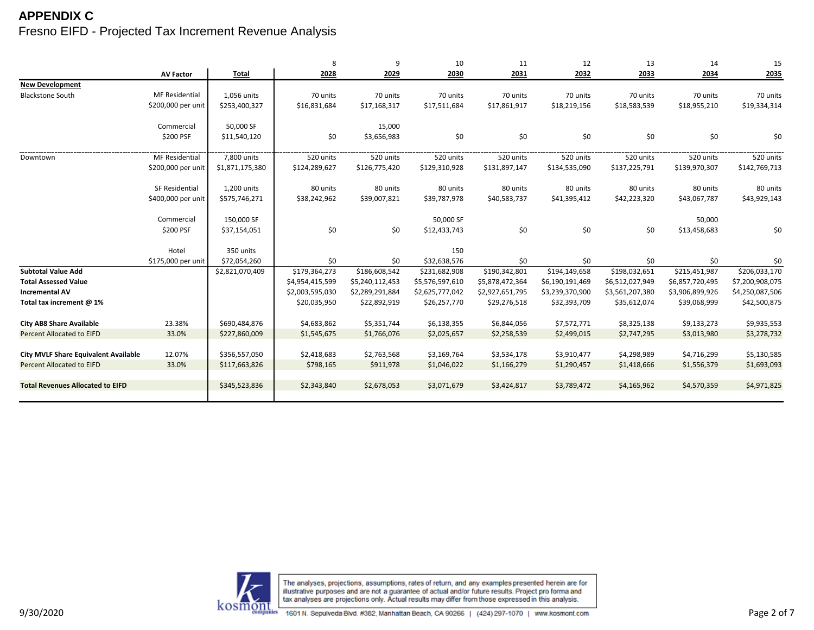|                                             |                       |                 | 8               | 9               | 10              | 11              | 12              | 13              | 14              | 15              |
|---------------------------------------------|-----------------------|-----------------|-----------------|-----------------|-----------------|-----------------|-----------------|-----------------|-----------------|-----------------|
|                                             | <b>AV Factor</b>      | Total           | 2028            | 2029            | 2030            | 2031            | 2032            | 2033            | 2034            | 2035            |
| <b>New Development</b>                      |                       |                 |                 |                 |                 |                 |                 |                 |                 |                 |
| <b>Blackstone South</b>                     | <b>MF Residential</b> | 1,056 units     | 70 units        | 70 units        | 70 units        | 70 units        | 70 units        | 70 units        | 70 units        | 70 units        |
|                                             | \$200,000 per unit    | \$253,400,327   | \$16,831,684    | \$17,168,317    | \$17,511,684    | \$17,861,917    | \$18,219,156    | \$18,583,539    | \$18,955,210    | \$19,334,314    |
|                                             |                       |                 |                 |                 |                 |                 |                 |                 |                 |                 |
|                                             | Commercial            | 50,000 SF       |                 | 15,000          |                 |                 |                 |                 |                 |                 |
|                                             | \$200 PSF             | \$11,540,120    | \$0             | \$3,656,983     | \$0             | \$0             | \$0             | \$0             | \$0             | \$0             |
| Downtown                                    | <b>MF Residential</b> | 7,800 units     | 520 units       | 520 units       | 520 units       | 520 units       | 520 units       | 520 units       | 520 units       | 520 units       |
|                                             | \$200,000 per unit    | \$1,871,175,380 | \$124,289,627   | \$126,775,420   | \$129,310,928   | \$131,897,147   | \$134,535,090   | \$137,225,791   | \$139,970,307   | \$142,769,713   |
|                                             | SF Residential        | 1,200 units     | 80 units        | 80 units        | 80 units        | 80 units        | 80 units        | 80 units        | 80 units        | 80 units        |
|                                             | \$400,000 per unit    | \$575,746,271   | \$38,242,962    | \$39,007,821    | \$39,787,978    | \$40,583,737    | \$41,395,412    | \$42,223,320    | \$43,067,787    | \$43,929,143    |
|                                             | Commercial            | 150,000 SF      |                 |                 | 50,000 SF       |                 |                 |                 | 50,000          |                 |
|                                             |                       |                 |                 |                 |                 |                 |                 |                 |                 |                 |
|                                             | \$200 PSF             | \$37,154,051    | \$0             | \$0             | \$12,433,743    | \$0             | \$0             | \$0             | \$13,458,683    | \$0             |
|                                             | Hotel                 | 350 units       |                 |                 | 150             |                 |                 |                 |                 |                 |
|                                             | \$175,000 per unit    | \$72,054,260    | \$0             | \$0             | \$32,638,576    | \$0             | \$0             | \$0             | \$0             | \$0             |
| <b>Subtotal Value Add</b>                   |                       | \$2,821,070,409 | \$179,364,273   | \$186,608,542   | \$231,682,908   | \$190,342,801   | \$194,149,658   | \$198,032,651   | \$215,451,987   | \$206,033,170   |
| <b>Total Assessed Value</b>                 |                       |                 | \$4,954,415,599 | \$5,240,112,453 | \$5,576,597,610 | \$5,878,472,364 | \$6,190,191,469 | \$6,512,027,949 | \$6,857,720,495 | \$7,200,908,075 |
| <b>Incremental AV</b>                       |                       |                 | \$2,003,595,030 | \$2,289,291,884 | \$2,625,777,042 | \$2,927,651,795 | \$3,239,370,900 | \$3,561,207,380 | \$3,906,899,926 | \$4,250,087,506 |
| Total tax increment @ 1%                    |                       |                 | \$20,035,950    | \$22,892,919    | \$26,257,770    | \$29,276,518    | \$32,393,709    | \$35,612,074    | \$39,068,999    | \$42,500,875    |
| <b>City AB8 Share Available</b>             | 23.38%                | \$690,484,876   | \$4,683,862     | \$5,351,744     | \$6,138,355     | \$6,844,056     | \$7,572,771     | \$8,325,138     | \$9,133,273     | \$9,935,553     |
| <b>Percent Allocated to EIFD</b>            | 33.0%                 | \$227,860,009   | \$1,545,675     | \$1,766,076     | \$2,025,657     | \$2,258,539     | \$2,499,015     | \$2,747,295     | \$3,013,980     | \$3,278,732     |
|                                             |                       |                 |                 |                 |                 |                 |                 |                 |                 |                 |
| <b>City MVLF Share Equivalent Available</b> | 12.07%                | \$356,557,050   | \$2,418,683     | \$2,763,568     | \$3,169,764     | \$3,534,178     | \$3,910,477     | \$4,298,989     | \$4,716,299     | \$5,130,585     |
| <b>Percent Allocated to EIFD</b>            | 33.0%                 | \$117,663,826   | \$798,165       | \$911,978       | \$1,046,022     | \$1,166,279     | \$1,290,457     | \$1,418,666     | \$1,556,379     | \$1,693,093     |
|                                             |                       |                 |                 |                 |                 |                 |                 |                 |                 |                 |
| <b>Total Revenues Allocated to EIFD</b>     |                       | \$345,523,836   | \$2,343,840     | \$2,678,053     | \$3,071,679     | \$3,424,817     | \$3,789,472     | \$4,165,962     | \$4,570,359     | \$4,971,825     |
|                                             |                       |                 |                 |                 |                 |                 |                 |                 |                 |                 |

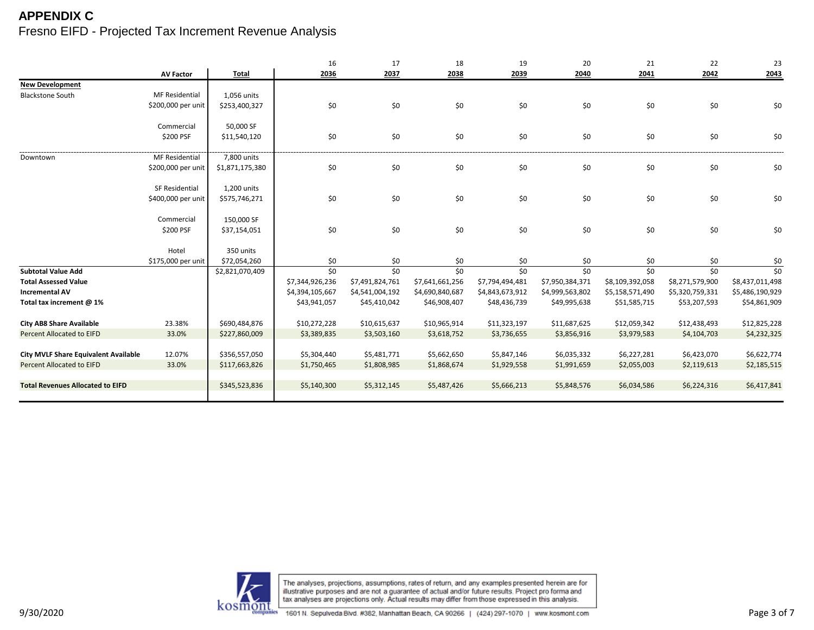|                                             |                       |                 | 16              | 17              | 18              | 19              | 20              | 21              | 22              | 23              |
|---------------------------------------------|-----------------------|-----------------|-----------------|-----------------|-----------------|-----------------|-----------------|-----------------|-----------------|-----------------|
|                                             | <b>AV Factor</b>      | <b>Total</b>    | 2036            | 2037            | 2038            | 2039            | 2040            | 2041            | 2042            | 2043            |
| <b>New Development</b>                      |                       |                 |                 |                 |                 |                 |                 |                 |                 |                 |
| <b>Blackstone South</b>                     | <b>MF Residential</b> | 1,056 units     |                 |                 |                 |                 |                 |                 |                 |                 |
|                                             | \$200,000 per unit    | \$253,400,327   | \$0             | \$0             | \$0             | \$0             | \$0             | \$0             | \$0             | \$0             |
|                                             |                       |                 |                 |                 |                 |                 |                 |                 |                 |                 |
|                                             | Commercial            | 50,000 SF       |                 |                 |                 |                 |                 |                 |                 |                 |
|                                             | \$200 PSF             | \$11,540,120    | \$0             | \$0             | \$0             | \$0             | \$0             | \$0             | \$0             | \$0             |
|                                             |                       |                 |                 |                 |                 |                 |                 |                 |                 |                 |
| Downtown                                    | MF Residential        | 7,800 units     |                 |                 |                 |                 |                 |                 |                 |                 |
|                                             | \$200,000 per unit    | \$1,871,175,380 | \$0             | $$0$$           | \$0             | \$0             | \$0             | \$0             | \$0             | \$0             |
|                                             |                       |                 |                 |                 |                 |                 |                 |                 |                 |                 |
|                                             | SF Residential        | 1,200 units     |                 |                 |                 |                 |                 |                 |                 |                 |
|                                             | \$400,000 per unit    | \$575,746,271   | \$0             | \$0             | \$0             | \$0             | \$0             | \$0             | \$0             | \$0             |
|                                             |                       |                 |                 |                 |                 |                 |                 |                 |                 |                 |
|                                             | Commercial            | 150,000 SF      |                 |                 |                 |                 |                 |                 |                 |                 |
|                                             | \$200 PSF             | \$37,154,051    | \$0             | \$0             | \$0             | \$0             | \$0             | \$0             | \$0             | \$0             |
|                                             |                       |                 |                 |                 |                 |                 |                 |                 |                 |                 |
|                                             | Hotel                 | 350 units       |                 |                 |                 |                 |                 |                 |                 |                 |
|                                             | \$175,000 per unit    | \$72,054,260    | \$0             | \$0             | \$0             | \$0             | \$0             | \$0             | \$0             | \$0             |
| <b>Subtotal Value Add</b>                   |                       | \$2,821,070,409 | \$0             | \$0             | \$0             | \$0             | \$0             | \$0             | \$0             | \$0             |
| <b>Total Assessed Value</b>                 |                       |                 | \$7,344,926,236 | \$7,491,824,761 | \$7,641,661,256 | \$7,794,494,481 | \$7,950,384,371 | \$8,109,392,058 | \$8,271,579,900 | \$8,437,011,498 |
| <b>Incremental AV</b>                       |                       |                 | \$4,394,105,667 | \$4,541,004,192 | \$4,690,840,687 | \$4,843,673,912 | \$4,999,563,802 | \$5,158,571,490 | \$5,320,759,331 | \$5,486,190,929 |
| Total tax increment @ 1%                    |                       |                 | \$43,941,057    | \$45,410,042    | \$46,908,407    | \$48,436,739    | \$49,995,638    | \$51,585,715    | \$53,207,593    | \$54,861,909    |
|                                             |                       |                 |                 |                 |                 |                 |                 |                 |                 |                 |
| <b>City AB8 Share Available</b>             | 23.38%                | \$690,484,876   | \$10,272,228    | \$10,615,637    | \$10,965,914    | \$11,323,197    | \$11,687,625    | \$12,059,342    | \$12,438,493    | \$12,825,228    |
| <b>Percent Allocated to EIFD</b>            | 33.0%                 | \$227,860,009   | \$3,389,835     | \$3,503,160     | \$3,618,752     | \$3,736,655     | \$3,856,916     | \$3,979,583     | \$4,104,703     | \$4,232,325     |
|                                             |                       |                 |                 |                 |                 |                 |                 |                 |                 |                 |
| <b>City MVLF Share Equivalent Available</b> | 12.07%                | \$356,557,050   | \$5,304,440     | \$5,481,771     | \$5,662,650     | \$5,847,146     | \$6,035,332     | \$6,227,281     | \$6,423,070     | \$6,622,774     |
| <b>Percent Allocated to EIFD</b>            | 33.0%                 | \$117,663,826   | \$1,750,465     | \$1,808,985     | \$1,868,674     | \$1,929,558     | \$1,991,659     | \$2,055,003     | \$2,119,613     | \$2,185,515     |
|                                             |                       |                 |                 |                 |                 |                 |                 |                 |                 |                 |
| <b>Total Revenues Allocated to EIFD</b>     |                       | \$345,523,836   | \$5,140,300     | \$5,312,145     | \$5,487,426     | \$5,666,213     | \$5,848,576     | \$6,034,586     | \$6,224,316     | \$6,417,841     |
|                                             |                       |                 |                 |                 |                 |                 |                 |                 |                 |                 |

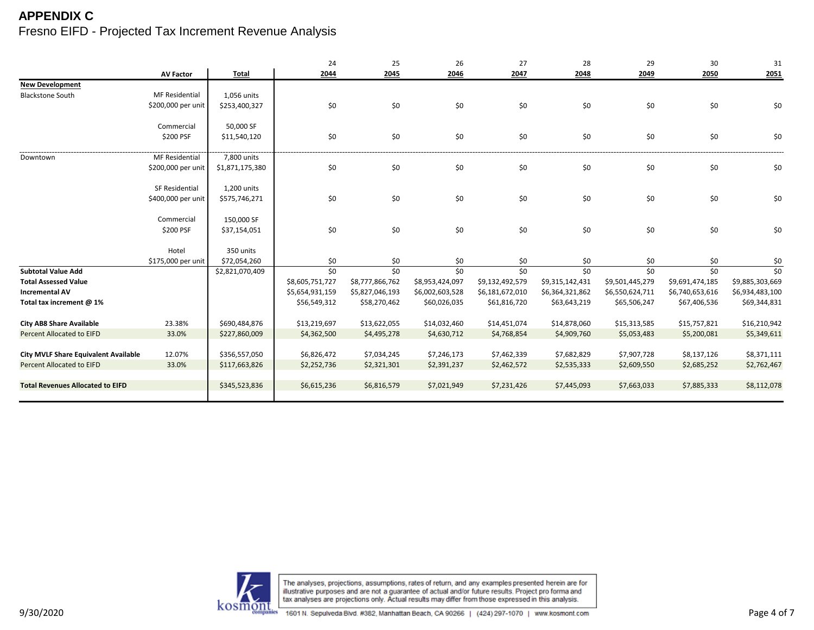|                                             |                       |                 | 24              | 25              | 26              | 27              | 28              | 29              | 30              | 31              |
|---------------------------------------------|-----------------------|-----------------|-----------------|-----------------|-----------------|-----------------|-----------------|-----------------|-----------------|-----------------|
|                                             | <b>AV Factor</b>      | <b>Total</b>    | 2044            | 2045            | 2046            | 2047            | 2048            | 2049            | 2050            | 2051            |
| <b>New Development</b>                      |                       |                 |                 |                 |                 |                 |                 |                 |                 |                 |
| <b>Blackstone South</b>                     | <b>MF Residential</b> | 1,056 units     |                 |                 |                 |                 |                 |                 |                 |                 |
|                                             | \$200,000 per unit    | \$253,400,327   | \$0             | \$0             | \$0             | \$0             | \$0             | \$0             | \$0             | \$0             |
|                                             |                       |                 |                 |                 |                 |                 |                 |                 |                 |                 |
|                                             | Commercial            | 50,000 SF       |                 |                 |                 |                 |                 |                 |                 |                 |
|                                             | \$200 PSF             | \$11,540,120    | \$0             | \$0             | \$0             | \$0             | \$0             | \$0             | \$0             | \$0             |
|                                             |                       |                 |                 |                 |                 |                 |                 |                 |                 |                 |
| Downtown                                    | MF Residential        | 7,800 units     |                 |                 |                 |                 |                 |                 |                 |                 |
|                                             | \$200,000 per unit    | \$1,871,175,380 | \$0             | $$0$$           | \$0             | \$0             | \$0             | \$0             | \$0             | \$0             |
|                                             |                       |                 |                 |                 |                 |                 |                 |                 |                 |                 |
|                                             | SF Residential        | 1,200 units     |                 |                 |                 |                 |                 |                 |                 |                 |
|                                             | \$400,000 per unit    | \$575,746,271   | \$0             | \$0             | \$0             | \$0             | \$0             | \$0             | \$0             | \$0             |
|                                             |                       |                 |                 |                 |                 |                 |                 |                 |                 |                 |
|                                             | Commercial            | 150,000 SF      |                 |                 |                 |                 |                 |                 |                 |                 |
|                                             | \$200 PSF             | \$37,154,051    | \$0             | \$0             | \$0             | \$0             | \$0             | \$0             | \$0             | \$0             |
|                                             |                       |                 |                 |                 |                 |                 |                 |                 |                 |                 |
|                                             | Hotel                 | 350 units       |                 |                 |                 |                 |                 |                 |                 |                 |
|                                             | \$175,000 per unit    | \$72,054,260    | \$0             | \$0             | \$0             | \$0             | \$0             | \$0             | \$0             | \$0             |
| <b>Subtotal Value Add</b>                   |                       | \$2,821,070,409 | \$0             | \$0             | \$0             | \$0             | \$0             | \$0             | \$0             | \$0             |
| <b>Total Assessed Value</b>                 |                       |                 | \$8,605,751,727 | \$8,777,866,762 | \$8,953,424,097 | \$9,132,492,579 | \$9,315,142,431 | \$9,501,445,279 | \$9,691,474,185 | \$9,885,303,669 |
| <b>Incremental AV</b>                       |                       |                 | \$5,654,931,159 | \$5,827,046,193 | \$6,002,603,528 | \$6,181,672,010 | \$6,364,321,862 | \$6,550,624,711 | \$6,740,653,616 | \$6,934,483,100 |
| Total tax increment @ 1%                    |                       |                 | \$56,549,312    | \$58,270,462    | \$60,026,035    | \$61,816,720    | \$63,643,219    | \$65,506,247    | \$67,406,536    | \$69,344,831    |
|                                             |                       |                 |                 |                 |                 |                 |                 |                 |                 |                 |
| <b>City AB8 Share Available</b>             | 23.38%                | \$690,484,876   | \$13,219,697    | \$13,622,055    | \$14,032,460    | \$14,451,074    | \$14,878,060    | \$15,313,585    | \$15,757,821    | \$16,210,942    |
| <b>Percent Allocated to EIFD</b>            | 33.0%                 | \$227,860,009   | \$4,362,500     | \$4,495,278     | \$4,630,712     | \$4,768,854     | \$4,909,760     | \$5,053,483     | \$5,200,081     | \$5,349,611     |
|                                             |                       |                 |                 |                 |                 |                 |                 |                 |                 |                 |
| <b>City MVLF Share Equivalent Available</b> | 12.07%                | \$356,557,050   | \$6,826,472     | \$7,034,245     | \$7,246,173     | \$7,462,339     | \$7,682,829     | \$7,907,728     | \$8,137,126     | \$8,371,111     |
| <b>Percent Allocated to EIFD</b>            | 33.0%                 | \$117,663,826   | \$2,252,736     | \$2,321,301     | \$2,391,237     | \$2,462,572     | \$2,535,333     | \$2,609,550     | \$2,685,252     | \$2,762,467     |
|                                             |                       |                 |                 |                 |                 |                 |                 |                 |                 |                 |
| <b>Total Revenues Allocated to EIFD</b>     |                       | \$345,523,836   | \$6,615,236     | \$6,816,579     | \$7,021,949     | \$7,231,426     | \$7,445,093     | \$7,663,033     | \$7,885,333     | \$8,112,078     |
|                                             |                       |                 |                 |                 |                 |                 |                 |                 |                 |                 |

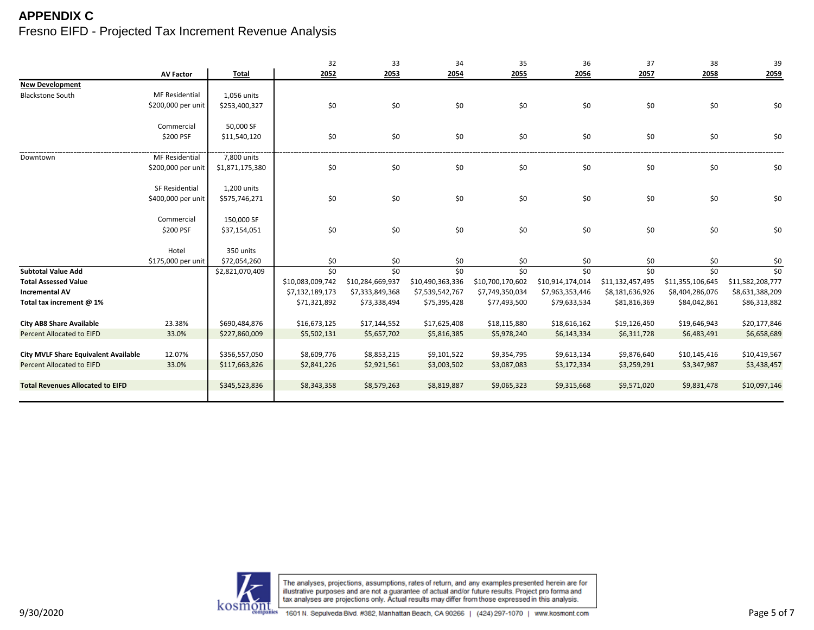|                                             |                       |                 | 32               | 33               | 34               | 35               | 36               | 37               | 38               | 39               |
|---------------------------------------------|-----------------------|-----------------|------------------|------------------|------------------|------------------|------------------|------------------|------------------|------------------|
|                                             | <b>AV Factor</b>      | <b>Total</b>    | 2052             | 2053             | 2054             | 2055             | 2056             | 2057             | 2058             | 2059             |
| <b>New Development</b>                      |                       |                 |                  |                  |                  |                  |                  |                  |                  |                  |
| <b>Blackstone South</b>                     | <b>MF Residential</b> | 1,056 units     |                  |                  |                  |                  |                  |                  |                  |                  |
|                                             | \$200,000 per unit    | \$253,400,327   | \$0              | \$0              | \$0              | \$0              | \$0              | \$0              | \$0              | \$0              |
|                                             |                       |                 |                  |                  |                  |                  |                  |                  |                  |                  |
|                                             | Commercial            | 50,000 SF       |                  |                  |                  |                  |                  |                  |                  |                  |
|                                             | \$200 PSF             | \$11,540,120    | \$0              | \$0              | \$0              | \$0              | \$0              | \$0              | \$0              | \$0              |
|                                             |                       |                 |                  |                  |                  |                  |                  |                  |                  |                  |
| Downtown                                    | MF Residential        | 7,800 units     |                  |                  |                  |                  |                  |                  |                  |                  |
|                                             | \$200,000 per unit    | \$1,871,175,380 | \$0              | \$0              | \$0              | \$0              | \$0              | \$0              | \$0              | \$0              |
|                                             | SF Residential        | 1,200 units     |                  |                  |                  |                  |                  |                  |                  |                  |
|                                             |                       |                 |                  | \$0              |                  |                  | \$0              | \$0              |                  |                  |
|                                             | \$400,000 per unit    | \$575,746,271   | \$0              |                  | \$0              | \$0              |                  |                  | \$0              | \$0              |
|                                             | Commercial            | 150,000 SF      |                  |                  |                  |                  |                  |                  |                  |                  |
|                                             | \$200 PSF             | \$37,154,051    | \$0              | \$0              | \$0              | \$0              | \$0              | \$0              | \$0              | \$0              |
|                                             |                       |                 |                  |                  |                  |                  |                  |                  |                  |                  |
|                                             | Hotel                 | 350 units       |                  |                  |                  |                  |                  |                  |                  |                  |
|                                             | \$175,000 per unit    | \$72,054,260    | \$0              | \$0              | \$0              | \$0              | \$0              | \$0              | \$0              | \$0              |
| <b>Subtotal Value Add</b>                   |                       | \$2,821,070,409 | \$0              | \$0              | \$0              | \$0              | \$0              | \$0              | \$0              | \$0              |
| <b>Total Assessed Value</b>                 |                       |                 | \$10,083,009,742 | \$10,284,669,937 | \$10,490,363,336 | \$10,700,170,602 | \$10,914,174,014 | \$11,132,457,495 | \$11,355,106,645 | \$11,582,208,777 |
| <b>Incremental AV</b>                       |                       |                 | \$7,132,189,173  | \$7,333,849,368  | \$7,539,542,767  | \$7,749,350,034  | \$7,963,353,446  | \$8,181,636,926  | \$8,404,286,076  | \$8,631,388,209  |
| Total tax increment @ 1%                    |                       |                 | \$71,321,892     | \$73,338,494     | \$75,395,428     | \$77,493,500     | \$79,633,534     | \$81,816,369     | \$84,042,861     | \$86,313,882     |
|                                             |                       |                 |                  |                  |                  |                  |                  |                  |                  |                  |
| <b>City AB8 Share Available</b>             | 23.38%                | \$690,484,876   | \$16,673,125     | \$17,144,552     | \$17,625,408     | \$18,115,880     | \$18,616,162     | \$19,126,450     | \$19,646,943     | \$20,177,846     |
| <b>Percent Allocated to EIFD</b>            | 33.0%                 | \$227,860,009   | \$5,502,131      | \$5,657,702      | \$5,816,385      | \$5,978,240      | \$6,143,334      | \$6,311,728      | \$6,483,491      | \$6,658,689      |
|                                             |                       |                 |                  |                  |                  |                  |                  |                  |                  |                  |
| <b>City MVLF Share Equivalent Available</b> | 12.07%                | \$356,557,050   | \$8,609,776      | \$8,853,215      | \$9,101,522      | \$9,354,795      | \$9,613,134      | \$9,876,640      | \$10,145,416     | \$10,419,567     |
| <b>Percent Allocated to EIFD</b>            | 33.0%                 | \$117,663,826   | \$2,841,226      | \$2,921,561      | \$3,003,502      | \$3,087,083      | \$3,172,334      | \$3,259,291      | \$3,347,987      | \$3,438,457      |
|                                             |                       |                 |                  |                  |                  |                  |                  |                  |                  |                  |
| <b>Total Revenues Allocated to EIFD</b>     |                       | \$345,523,836   | \$8,343,358      | \$8,579,263      | \$8,819,887      | \$9,065,323      | \$9,315,668      | \$9,571,020      | \$9,831,478      | \$10,097,146     |
|                                             |                       |                 |                  |                  |                  |                  |                  |                  |                  |                  |

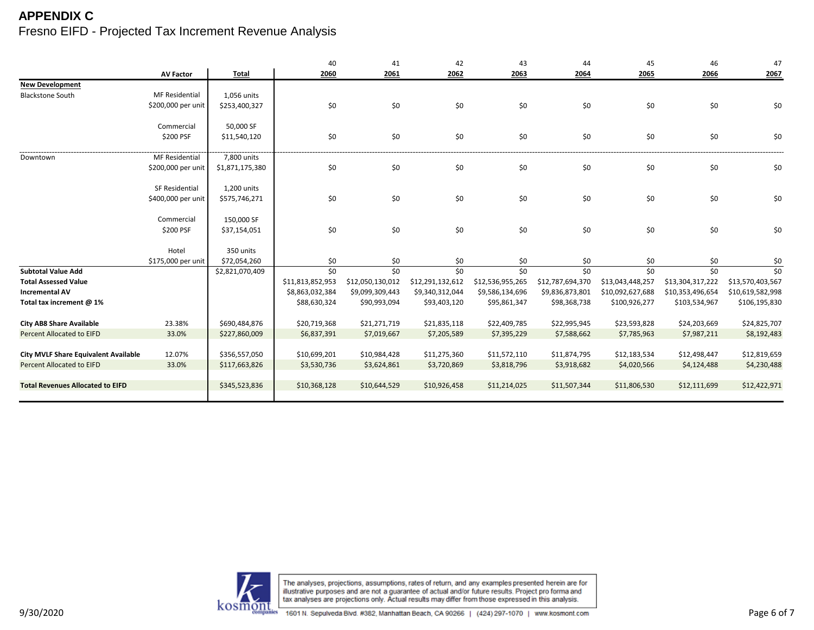|                                             |                       |                 | 40               | 41               | 42               | 43               | 44               | 45               | 46               | 47               |
|---------------------------------------------|-----------------------|-----------------|------------------|------------------|------------------|------------------|------------------|------------------|------------------|------------------|
|                                             | <b>AV Factor</b>      | <b>Total</b>    | 2060             | 2061             | 2062             | 2063             | 2064             | 2065             | 2066             | 2067             |
| <b>New Development</b>                      |                       |                 |                  |                  |                  |                  |                  |                  |                  |                  |
| <b>Blackstone South</b>                     | <b>MF Residential</b> | 1,056 units     |                  |                  |                  |                  |                  |                  |                  |                  |
|                                             | \$200,000 per unit    | \$253,400,327   | \$0              | \$0              | \$0              | \$0              | \$0              | \$0              | \$0              | \$0              |
|                                             |                       |                 |                  |                  |                  |                  |                  |                  |                  |                  |
|                                             | Commercial            | 50,000 SF       |                  |                  |                  |                  |                  |                  |                  |                  |
|                                             | \$200 PSF             | \$11,540,120    | \$0              | \$0              | \$0              | \$0              | \$0              | \$0              | $$0$$            | \$0              |
| Downtown                                    | MF Residential        | 7,800 units     |                  |                  |                  |                  |                  |                  |                  |                  |
|                                             | \$200,000 per unit    | \$1,871,175,380 | \$0              | \$0              | \$0              | \$0              | \$0              | \$0              | \$0              |                  |
|                                             |                       |                 |                  |                  |                  |                  |                  |                  |                  | \$0              |
|                                             | SF Residential        | 1,200 units     |                  |                  |                  |                  |                  |                  |                  |                  |
|                                             | \$400,000 per unit    | \$575,746,271   | \$0              | \$0              | \$0              | \$0              | \$0              | \$0              | \$0              | \$0              |
|                                             |                       |                 |                  |                  |                  |                  |                  |                  |                  |                  |
|                                             | Commercial            | 150,000 SF      |                  |                  |                  |                  |                  |                  |                  |                  |
|                                             | \$200 PSF             | \$37,154,051    | \$0              | \$0              | \$0              | \$0              | \$0              | \$0              | \$0              | \$0              |
|                                             |                       |                 |                  |                  |                  |                  |                  |                  |                  |                  |
|                                             | Hotel                 | 350 units       |                  |                  |                  |                  |                  |                  |                  |                  |
|                                             | \$175,000 per unit    | \$72,054,260    | \$0              | \$0              | \$0              | \$0              | \$0              | \$0              | \$0              | \$0              |
| <b>Subtotal Value Add</b>                   |                       | \$2,821,070,409 | \$0              | \$0              | \$0              | \$0              | \$0              | \$0              | \$0              | \$0              |
| <b>Total Assessed Value</b>                 |                       |                 | \$11,813,852,953 | \$12,050,130,012 | \$12,291,132,612 | \$12,536,955,265 | \$12,787,694,370 | \$13,043,448,257 | \$13,304,317,222 | \$13,570,403,567 |
| <b>Incremental AV</b>                       |                       |                 | \$8,863,032,384  | \$9,099,309,443  | \$9,340,312,044  | \$9,586,134,696  | \$9,836,873,801  | \$10,092,627,688 | \$10,353,496,654 | \$10,619,582,998 |
| Total tax increment @ 1%                    |                       |                 | \$88,630,324     | \$90,993,094     | \$93,403,120     | \$95,861,347     | \$98,368,738     | \$100,926,277    | \$103,534,967    | \$106,195,830    |
| <b>City AB8 Share Available</b>             | 23.38%                | \$690,484,876   |                  |                  |                  |                  |                  |                  |                  | \$24,825,707     |
|                                             |                       |                 | \$20,719,368     | \$21,271,719     | \$21,835,118     | \$22,409,785     | \$22,995,945     | \$23,593,828     | \$24,203,669     |                  |
| <b>Percent Allocated to EIFD</b>            | 33.0%                 | \$227,860,009   | \$6,837,391      | \$7,019,667      | \$7,205,589      | \$7,395,229      | \$7,588,662      | \$7,785,963      | \$7,987,211      | \$8,192,483      |
| <b>City MVLF Share Equivalent Available</b> | 12.07%                | \$356,557,050   | \$10,699,201     | \$10,984,428     | \$11,275,360     | \$11,572,110     | \$11,874,795     | \$12,183,534     | \$12,498,447     | \$12,819,659     |
| <b>Percent Allocated to EIFD</b>            | 33.0%                 | \$117,663,826   | \$3,530,736      | \$3,624,861      | \$3,720,869      | \$3,818,796      | \$3,918,682      | \$4,020,566      | \$4,124,488      | \$4,230,488      |
|                                             |                       |                 |                  |                  |                  |                  |                  |                  |                  |                  |
| <b>Total Revenues Allocated to EIFD</b>     |                       | \$345,523,836   | \$10,368,128     | \$10,644,529     | \$10,926,458     | \$11,214,025     | \$11,507,344     | \$11,806,530     | \$12,111,699     | \$12,422,971     |
|                                             |                       |                 |                  |                  |                  |                  |                  |                  |                  |                  |